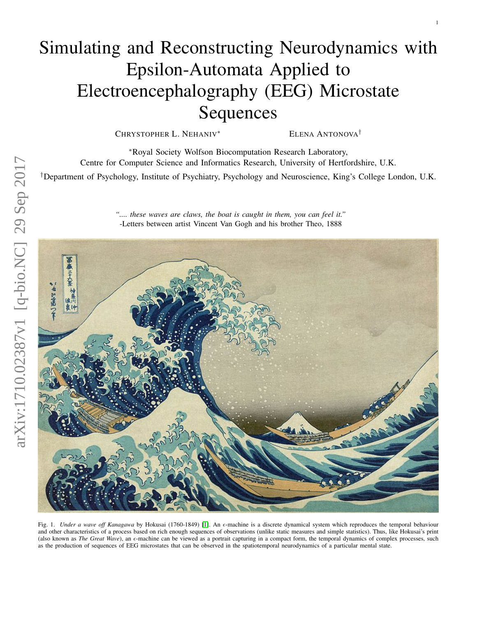# Simulating and Reconstructing Neurodynamics with Epsilon-Automata Applied to Electroencephalography (EEG) Microstate Sequences

CHRYSTOPHER L. NEHANIV<sup>\*</sup> ELENA ANTONOVA<sup>†</sup>

1

<sup>∗</sup>Royal Society Wolfson Biocomputation Research Laboratory, Centre for Computer Science and Informatics Research, University of Hertfordshire, U.K.

†Department of Psychology, Institute of Psychiatry, Psychology and Neuroscience, King's College London, U.K.

*".... these waves are claws, the boat is caught in them, you can feel it."* -Letters between artist Vincent Van Gogh and his brother Theo, 1888



Fig. 1. *Under a wave off Kanagawa* by Hokusai (1760-1849) [\[1\]](#page-10-0). An  $\epsilon$ -machine is a discrete dynamical system which reproduces the temporal behaviour and other characteristics of a process based on rich enough sequences of observations (unlike static measures and simple statistics). Thus, like Hokusai's print (also known as *The Great Wave*), an  $\epsilon$ -machine can be viewed as a portrait capturing in a compact form, the temporal dynamics of complex processes, such as the production of sequences of EEG microstates that can be observed in the spatiotemporal neurodynamics of a particular mental state.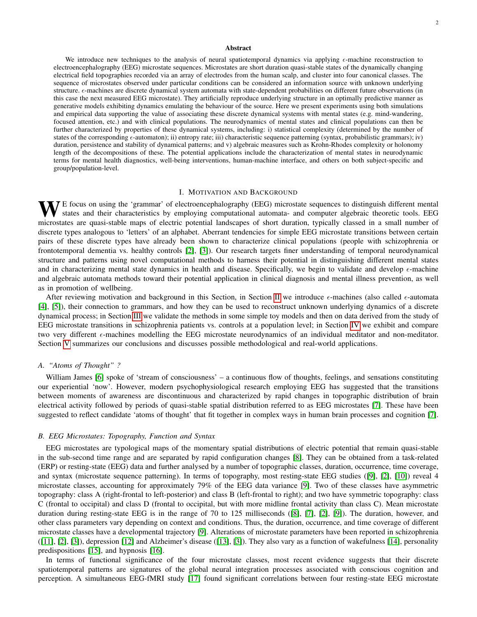#### Abstract

We introduce new techniques to the analysis of neural spatiotemporal dynamics via applying  $\epsilon$ -machine reconstruction to electroencephalography (EEG) microstate sequences. Microstates are short duration quasi-stable states of the dynamically changing electrical field topographies recorded via an array of electrodes from the human scalp, and cluster into four canonical classes. The sequence of microstates observed under particular conditions can be considered an information source with unknown underlying structure.  $\epsilon$ -machines are discrete dynamical system automata with state-dependent probabilities on different future observations (in this case the next measured EEG microstate). They artificially reproduce underlying structure in an optimally predictive manner as generative models exhibiting dynamics emulating the behaviour of the source. Here we present experiments using both simulations and empirical data supporting the value of associating these discrete dynamical systems with mental states (e.g. mind-wandering, focused attention, etc.) and with clinical populations. The neurodynamics of mental states and clinical populations can then be further characterized by properties of these dynamical systems, including: i) statistical complexity (determined by the number of states of the corresponding  $\epsilon$ -automaton); ii) entropy rate; iii) characteristic sequence patterning (syntax, probabilistic grammars); iv) duration, persistence and stability of dynamical patterns; and v) algebraic measures such as Krohn-Rhodes complexity or holonomy length of the decompositions of these. The potential applications include the characterization of mental states in neurodynamic terms for mental health diagnostics, well-being interventions, human-machine interface, and others on both subject-specific and group/population-level.

# I. MOTIVATION AND BACKGROUND

WE focus on using the 'grammar' of electroencephalography (EEG) microstate sequences to distinguish different mental states and their characteristics by employing computational automata- and computer algebraic theoretic tools. EEG microstates are quasi-stable maps of electric potential landscapes of short duration, typically classed in a small number of discrete types analogous to 'letters' of an alphabet. Aberrant tendencies for simple EEG microstate transitions between certain pairs of these discrete types have already been shown to characterize clinical populations (people with schizophrenia or frontotemporal dementia vs. healthy controls [\[2\]](#page-10-1), [\[3\]](#page-10-2)). Our research targets finer understanding of temporal neurodynamical structure and patterns using novel computational methods to harness their potential in distinguishing different mental states and in characterizing mental state dynamics in health and disease. Specifically, we begin to validate and develop  $\epsilon$ -machine and algebraic automata methods toward their potential application in clinical diagnosis and mental illness prevention, as well as in promotion of wellbeing.

After reviewing motivation and background in this Section, in Section [II](#page-2-0) we introduce  $\epsilon$ -machines (also called  $\epsilon$ -automata [\[4\]](#page-10-3), [\[5\]](#page-10-4)), their connection to grammars, and how they can be used to reconstruct unknown underlying dynamics of a discrete dynamical process; in Section [III](#page-5-0) we validate the methods in some simple toy models and then on data derived from the study of EEG microstate transitions in schizophrenia patients vs. controls at a population level; in Section [IV](#page-8-0) we exhibit and compare two very different  $\epsilon$ -machines modelling the EEG microstate neurodynamics of an individual meditator and non-meditator. Section [V](#page-9-0) summarizes our conclusions and discusses possible methodological and real-world applications.

#### *A. "Atoms of Thought" ?*

William James [\[6\]](#page-10-5) spoke of 'stream of consciousness' – a continuous flow of thoughts, feelings, and sensations constituting our experiential 'now'. However, modern psychophysiological research employing EEG has suggested that the transitions between moments of awareness are discontinuous and characterized by rapid changes in topographic distribution of brain electrical activity followed by periods of quasi-stable spatial distribution referred to as EEG microstates [\[7\]](#page-10-6). These have been suggested to reflect candidate 'atoms of thought' that fit together in complex ways in human brain processes and cognition [\[7\]](#page-10-6).

## <span id="page-1-0"></span>*B. EEG Microstates: Topography, Function and Syntax*

EEG microstates are typological maps of the momentary spatial distributions of electric potential that remain quasi-stable in the sub-second time range and are separated by rapid configuration changes [\[8\]](#page-10-7). They can be obtained from a task-related (ERP) or resting-state (EEG) data and further analysed by a number of topographic classes, duration, occurrence, time coverage, and syntax (microstate sequence patterning). In terms of topography, most resting-state EEG studies ([\[9\]](#page-10-8), [\[2\]](#page-10-1), [\[10\]](#page-10-9)) reveal 4 microstate classes, accounting for approximately 79% of the EEG data variance [\[9\]](#page-10-8). Two of these classes have asymmetric topography: class A (right-frontal to left-posterior) and class B (left-frontal to right); and two have symmetric topography: class C (frontal to occipital) and class D (frontal to occipital, but with more midline frontal activity than class C). Mean microstate duration during resting-state EEG is in the range of 70 to 125 milliseconds ([\[8\]](#page-10-7), [\[7\]](#page-10-6), [\[2\]](#page-10-1), [\[9\]](#page-10-8)). The duration, however, and other class parameters vary depending on context and conditions. Thus, the duration, occurrence, and time coverage of different microstate classes have a developmental trajectory [\[9\]](#page-10-8). Alterations of microstate parameters have been reported in schizophrenia ([\[11\]](#page-10-10), [\[2\]](#page-10-1), [\[3\]](#page-10-2)), depression [\[12\]](#page-10-11) and Alzheimer's disease ([\[13\]](#page-10-12), [\[3\]](#page-10-2)). They also vary as a function of wakefulness [\[14\]](#page-10-13), personality predispositions [\[15\]](#page-10-14), and hypnosis [\[16\]](#page-10-15).

In terms of functional significance of the four microstate classes, most recent evidence suggests that their discrete spatiotemporal patterns are signatures of the global neural integration processes associated with conscious cognition and perception. A simultaneous EEG-fMRI study [\[17\]](#page-10-16) found significant correlations between four resting-state EEG microstate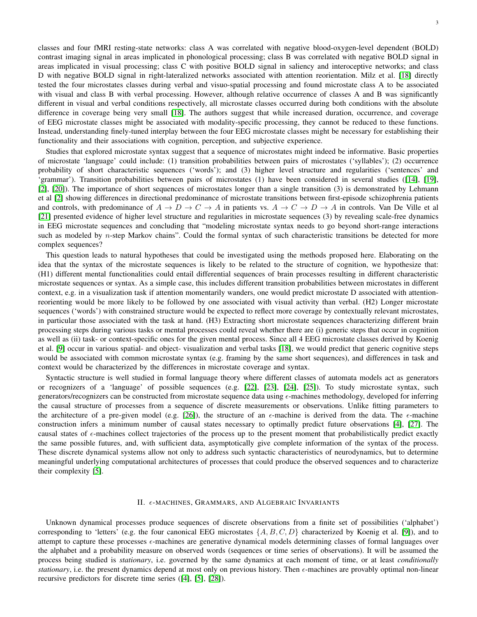classes and four fMRI resting-state networks: class A was correlated with negative blood-oxygen-level dependent (BOLD) contrast imaging signal in areas implicated in phonological processing; class B was correlated with negative BOLD signal in areas implicated in visual processing; class C with positive BOLD signal in saliency and interoceptive networks; and class D with negative BOLD signal in right-lateralized networks associated with attention reorientation. Milz et al. [\[18\]](#page-10-17) directly tested the four microstates classes during verbal and visuo-spatial processing and found microstate class A to be associated with visual and class B with verbal processing. However, although relative occurrence of classes A and B was significantly different in visual and verbal conditions respectively, all microstate classes occurred during both conditions with the absolute difference in coverage being very small [\[18\]](#page-10-17). The authors suggest that while increased duration, occurrence, and coverage of EEG microstate classes might be associated with modality-specific processing, they cannot be reduced to these functions. Instead, understanding finely-tuned interplay between the four EEG microstate classes might be necessary for establishing their functionality and their associations with cognition, perception, and subjective experience.

Studies that explored microstate syntax suggest that a sequence of microstates might indeed be informative. Basic properties of microstate 'language' could include: (1) transition probabilities between pairs of microstates ('syllables'); (2) occurrence probability of short characteristic sequences ('words'); and (3) higher level structure and regularities ('sentences' and 'grammar'). Transition probabilities between pairs of microstates (1) have been considered in several studies ([\[14\]](#page-10-13), [\[19\]](#page-10-18), [\[2\]](#page-10-1), [\[20\]](#page-10-19)). The importance of short sequences of microstates longer than a single transition (3) is demonstrated by Lehmann et al [\[2\]](#page-10-1) showing differences in directional predominance of microstate transitions between first-episode schizophrenia patients and controls, with predominance of  $A \to D \to C \to A$  in patients vs.  $A \to C \to D \to A$  in controls. Van De Ville et al [\[21\]](#page-10-20) presented evidence of higher level structure and regularities in microstate sequences (3) by revealing scale-free dynamics in EEG microstate sequences and concluding that "modeling microstate syntax needs to go beyond short-range interactions such as modeled by  $n$ -step Markov chains". Could the formal syntax of such characteristic transitions be detected for more complex sequences?

This question leads to natural hypotheses that could be investigated using the methods proposed here. Elaborating on the idea that the syntax of the microstate sequences is likely to be related to the structure of cognition, we hypothesize that: (H1) different mental functionalities could entail differential sequences of brain processes resulting in different characteristic microstate sequences or syntax. As a simple case, this includes different transition probabilities between microstates in different context, e.g. in a visualization task if attention momentarily wanders, one would predict microstate D associated with attentionreorienting would be more likely to be followed by one associated with visual activity than verbal. (H2) Longer microstate sequences ('words') with constrained structure would be expected to reflect more coverage by contextually relevant microstates, in particular those associated with the task at hand. (H3) Extracting short microstate sequences characterizing different brain processing steps during various tasks or mental processes could reveal whether there are (i) generic steps that occur in cognition as well as (ii) task- or context-specific ones for the given mental process. Since all 4 EEG microstate classes derived by Koenig et al. [\[9\]](#page-10-8) occur in various spatial- and object- visualization and verbal tasks [\[18\]](#page-10-17), we would predict that generic cognitive steps would be associated with common microstate syntax (e.g. framing by the same short sequences), and differences in task and context would be characterized by the differences in microstate coverage and syntax.

Syntactic structure is well studied in formal language theory where different classes of automata models act as generators or recognizers of a 'language' of possible sequences (e.g. [\[22\]](#page-10-21), [\[23\]](#page-10-22), [\[24\]](#page-10-23), [\[25\]](#page-10-24)). To study microstate syntax, such generators/recognizers can be constructed from microstate sequence data using -machines methodology, developed for inferring the causal structure of processes from a sequence of discrete measurements or observations. Unlike fitting parameters to the architecture of a pre-given model (e.g. [\[26\]](#page-10-25)), the structure of an  $\epsilon$ -machine is derived from the data. The  $\epsilon$ -machine construction infers a minimum number of causal states necessary to optimally predict future observations [\[4\]](#page-10-3), [\[27\]](#page-10-26). The causal states of  $\epsilon$ -machines collect trajectories of the process up to the present moment that probabilistically predict exactly the same possible futures, and, with sufficient data, asymptotically give complete information of the syntax of the process. These discrete dynamical systems allow not only to address such syntactic characteristics of neurodynamics, but to determine meaningful underlying computational architectures of processes that could produce the observed sequences and to characterize their complexity [\[5\]](#page-10-4).

# II.  $\epsilon$ -MACHINES, GRAMMARS, AND ALGEBRAIC INVARIANTS

<span id="page-2-0"></span>Unknown dynamical processes produce sequences of discrete observations from a finite set of possibilities ('alphabet') corresponding to 'letters' (e.g. the four canonical EEG microstates  $\{A, B, C, D\}$  characterized by Koenig et al. [\[9\]](#page-10-8)), and to attempt to capture these processes  $\epsilon$ -machines are generative dynamical models determining classes of formal languages over the alphabet and a probability measure on observed words (sequences or time series of observations). It will be assumed the process being studied is *stationary*, i.e. governed by the same dynamics at each moment of time, or at least *conditionally stationary*, i.e. the present dynamics depend at most only on previous history. Then  $\epsilon$ -machines are provably optimal non-linear recursive predictors for discrete time series ([\[4\]](#page-10-3), [\[5\]](#page-10-4), [\[28\]](#page-10-27)).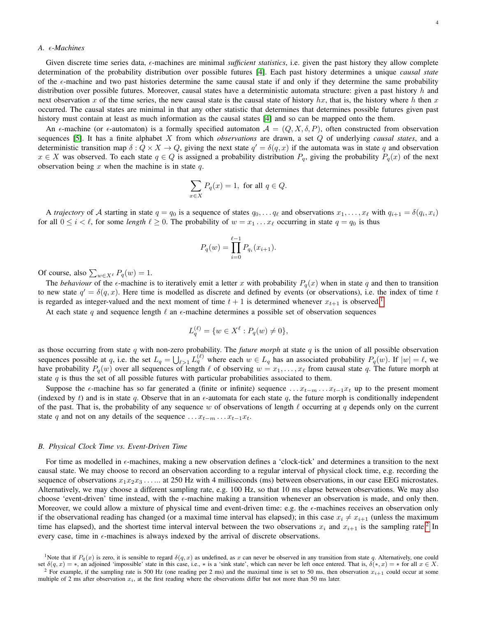# *A. -Machines*

Given discrete time series data,  $\epsilon$ -machines are minimal *sufficient statistics*, i.e. given the past history they allow complete determination of the probability distribution over possible futures [\[4\]](#page-10-3). Each past history determines a unique *causal state* of the  $\epsilon$ -machine and two past histories determine the same causal state if and only if they determine the same probability distribution over possible futures. Moreover, causal states have a deterministic automata structure: given a past history  $h$  and next observation x of the time series, the new causal state is the causal state of history hx, that is, the history where h then x occurred. The causal states are minimal in that any other statistic that determines that determines possible futures given past history must contain at least as much information as the causal states [\[4\]](#page-10-3) and so can be mapped onto the them.

An  $\epsilon$ -machine (or  $\epsilon$ -automaton) is a formally specified automaton  $\mathcal{A} = (Q, X, \delta, P)$ , often constructed from observation sequences [\[5\]](#page-10-4). It has a finite alphabet X from which *observations* are drawn, a set Q of underlying *causal states*, and a deterministic transition map  $\delta: Q \times X \to Q$ , giving the next state  $q' = \delta(q, x)$  if the automata was in state q and observation  $x \in X$  was observed. To each state  $q \in Q$  is assigned a probability distribution  $P_q$ , giving the probability  $P_q(x)$  of the next observation being  $x$  when the machine is in state  $q$ .

$$
\sum_{x \in X} P_q(x) = 1, \text{ for all } q \in Q.
$$

A *trajectory* of A starting in state  $q = q_0$  is a sequence of states  $q_0, \ldots q_\ell$  and observations  $x_1, \ldots, x_\ell$  with  $q_{i+1} = \delta(q_i, x_i)$ for all  $0 \le i < \ell$ , for some *length*  $\ell \ge 0$ . The probability of  $w = x_1 \dots x_{\ell}$  occurring in state  $q = q_0$  is thus

$$
P_q(w) = \prod_{i=0}^{\ell-1} P_{q_i}(x_{i+1}).
$$

Of course, also  $\sum_{w \in X^\ell} P_q(w) = 1$ .

The *behaviour* of the  $\epsilon$ -machine is to iteratively emit a letter x with probability  $P_q(x)$  when in state q and then to transition to new state  $q' = \delta(q, x)$ . Here time is modelled as discrete and defined by events (or observations), i.e. the index of time t is regarded as integer-valued and the next moment of time  $t + 1$  $t + 1$  is determined whenever  $x_{t+1}$  is observed.<sup>1</sup>

At each state q and sequence length  $\ell$  an  $\epsilon$ -machine determines a possible set of observation sequences

$$
L_q^{(\ell)} = \{ w \in X^{\ell} : P_q(w) \neq 0 \},
$$

as those occurring from state q with non-zero probability. The *future morph* at state q is the union of all possible observation sequences possible at q, i.e. the set  $L_q = \bigcup_{\ell > 1} L_q^{(\ell)}$  where each  $w \in L_q$  has an associated probability  $P_q(w)$ . If  $|w| = \ell$ , we have probability  $P_q(w)$  over all sequences of length  $\ell$  of observing  $w = x_1, \ldots, x_\ell$  from causal state q. The future morph at state  $q$  is thus the set of all possible futures with particular probabilities associated to them.

Suppose the  $\epsilon$ -machine has so far generated a (finite or infinite) sequence ...  $x_{t-m}$ ...  $x_{t-1}x_t$  up to the present moment (indexed by t) and is in state q. Observe that in an  $\epsilon$ -automata for each state q, the future morph is conditionally independent of the past. That is, the probability of any sequence w of observations of length  $\ell$  occurring at q depends only on the current state q and not on any details of the sequence  $\dots x_{t-m} \dots x_{t-1}x_t$ .

# *B. Physical Clock Time vs. Event-Driven Time*

For time as modelled in  $\epsilon$ -machines, making a new observation defines a 'clock-tick' and determines a transition to the next causal state. We may choose to record an observation according to a regular interval of physical clock time, e.g. recording the sequence of observations  $x_1x_2x_3$ ..... at 250 Hz with 4 milliseconds (ms) between observations, in our case EEG microstates. Alternatively, we may choose a different sampling rate, e.g. 100 Hz, so that 10 ms elapse between observations. We may also choose 'event-driven' time instead, with the  $\epsilon$ -machine making a transition whenever an observation is made, and only then. Moreover, we could allow a mixture of physical time and event-driven time: e.g. the  $\epsilon$ -machines receives an observation only if the observational reading has changed (or a maximal time interval has elapsed); in this case  $x_i \neq x_{i+1}$  (unless the maximum time has elapsed), and the shortest time interval interval between the two observations  $x_i$  and  $x_{i+1}$  is the sampling rate.<sup>[2](#page-3-1)</sup> In every case, time in  $\epsilon$ -machines is always indexed by the arrival of discrete observations.

<span id="page-3-0"></span><sup>&</sup>lt;sup>1</sup>Note that if  $P_q(x)$  is zero, it is sensible to regard  $\delta(q, x)$  as undefined, as x can never be observed in any transition from state q. Alternatively, one could set  $\delta(q, x) = *$ , an adjoined 'impossible' state in this case, i.e., \* is a 'sink state', which can never be left once entered. That is,  $\delta(*, x) = *$  for all  $x \in X$ .

<span id="page-3-1"></span><sup>&</sup>lt;sup>2</sup> For example, if the sampling rate is 500 Hz (one reading per 2 ms) and the maximal time is set to 50 ms, then observation  $x_{i+1}$  could occur at some multiple of 2 ms after observation  $x_i$ , at the first reading where the observations differ but not more than 50 ms later.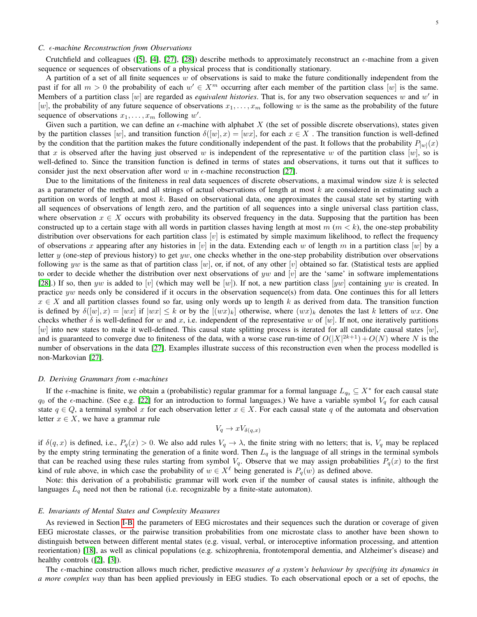# <span id="page-4-0"></span>*C. -machine Reconstruction from Observations*

Crutchfield and colleagues ([\[5\]](#page-10-4), [\[4\]](#page-10-3), [\[27\]](#page-10-26), [\[28\]](#page-10-27)) describe methods to approximately reconstruct an  $\epsilon$ -machine from a given sequence or sequences of observations of a physical process that is conditionally stationary.

A partition of a set of all finite sequences w of observations is said to make the future conditionally independent from the past if for all  $m > 0$  the probability of each  $w' \in X^m$  occurring after each member of the partition class  $[w]$  is the same. Members of a partition class [w] are regarded as *equivalent histories*. That is, for any two observation sequences w and  $w'$  in [w], the probability of any future sequence of observations  $x_1, \ldots, x_m$  following w is the same as the probability of the future sequence of observations  $x_1, \ldots, x_m$  following w'.

Given such a partition, we can define an  $\epsilon$ -machine with alphabet X (the set of possible discrete observations), states given by the partition classes [w], and transition function  $\delta([w], x) = [wx]$ , for each  $x \in X$ . The transition function is well-defined by the condition that the partition makes the future conditionally independent of the past. It follows that the probability  $P_{[w]}(x)$ that x is observed after the having just observed w is independent of the representative w of the partition class  $[w]$ , so is well-defined to. Since the transition function is defined in terms of states and observations, it turns out that it suffices to consider just the next observation after word w in  $\epsilon$ -machine reconstruction [\[27\]](#page-10-26).

Due to the limitations of the finiteness in real data sequences of discrete observations, a maximal window size  $k$  is selected as a parameter of the method, and all strings of actual observations of length at most  $k$  are considered in estimating such a partition on words of length at most k. Based on observational data, one approximates the causal state set by starting with all sequences of observations of length zero, and the partition of all sequences into a single universal class partition class, where observation  $x \in X$  occurs with probability its observed frequency in the data. Supposing that the partition has been constructed up to a certain stage with all words in partition classes having length at most  $m (m < k)$ , the one-step probability distribution over observations for each partition class  $[v]$  is estimated by simple maximum likelihood, to reflect the frequency of observations x appearing after any histories in [v] in the data. Extending each w of length m in a partition class [w] by a letter y (one-step of previous history) to get yw, one checks whether in the one-step probability distribution over observations following yw is the same as that of partition class  $[w]$ , or, if not, of any other  $[v]$  obtained so far. (Statistical tests are applied to order to decide whether the distribution over next observations of yw and [v] are the 'same' in software implementations [\[28\]](#page-10-27).) If so, then yw is added to [v] (which may well be [w]). If not, a new partition class [yw] containing yw is created. In practice yw needs only be considered if it occurs in the observation sequence(s) from data. One continues this for all letters  $x \in X$  and all partition classes found so far, using only words up to length k as derived from data. The transition function is defined by  $\delta([w], x) = |wx|$  if  $|wx| \leq k$  or by the  $[(wx)_k]$  otherwise, where  $(wx)_k$  denotes the last k letters of wx. One checks whether  $\delta$  is well-defined for w and x, i.e. independent of the representative w of [w]. If not, one iteratively partitions  $[w]$  into new states to make it well-defined. This causal state splitting process is iterated for all candidate causal states  $[w]$ , and is guaranteed to converge due to finiteness of the data, with a worse case run-time of  $O(|X|^{2k+1})+O(N)$  where N is the number of observations in the data [\[27\]](#page-10-26). Examples illustrate success of this reconstruction even when the process modelled is non-Markovian [\[27\]](#page-10-26).

#### *D. Deriving Grammars from ε-machines*

If the  $\epsilon$ -machine is finite, we obtain a (probabilistic) regular grammar for a formal language  $L_{q_0} \subseteq X^*$  for each causal state  $q_0$  of the  $\epsilon$ -machine. (See e.g. [\[22\]](#page-10-21) for an introduction to formal languages.) We have a variable symbol  $V_q$  for each causal state  $q \in Q$ , a terminal symbol x for each observation letter  $x \in X$ . For each causal state q of the automata and observation letter  $x \in X$ , we have a grammar rule

$$
V_q \to xV_{\delta(q,x)}
$$

if  $\delta(q, x)$  is defined, i.e.,  $P_q(x) > 0$ . We also add rules  $V_q \to \lambda$ , the finite string with no letters; that is,  $V_q$  may be replaced by the empty string terminating the generation of a finite word. Then  $L_q$  is the language of all strings in the terminal symbols that can be reached using these rules starting from symbol  $V_q$ . Observe that we may assign probabilities  $P_q(x)$  to the first kind of rule above, in which case the probability of  $w \in X^{\ell}$  being generated is  $P_q(w)$  as defined above.

Note: this derivation of a probabilistic grammar will work even if the number of causal states is infinite, although the languages  $L_q$  need not then be rational (i.e. recognizable by a finite-state automaton).

#### *E. Invariants of Mental States and Complexity Measures*

As reviewed in Section [I-B,](#page-1-0) the parameters of EEG microstates and their sequences such the duration or coverage of given EEG microstate classes, or the pairwise transition probabilities from one microstate class to another have been shown to distinguish between between different mental states (e.g. visual, verbal, or interoceptive information processing, and attention reorientation) [\[18\]](#page-10-17), as well as clinical populations (e.g. schizophrenia, frontotemporal dementia, and Alzheimer's disease) and healthy controls ([\[2\]](#page-10-1), [\[3\]](#page-10-2)).

The  $\epsilon$ -machine construction allows much richer, predictive *measures of a system's behaviour by specifying its dynamics in a more complex way* than has been applied previously in EEG studies. To each observational epoch or a set of epochs, the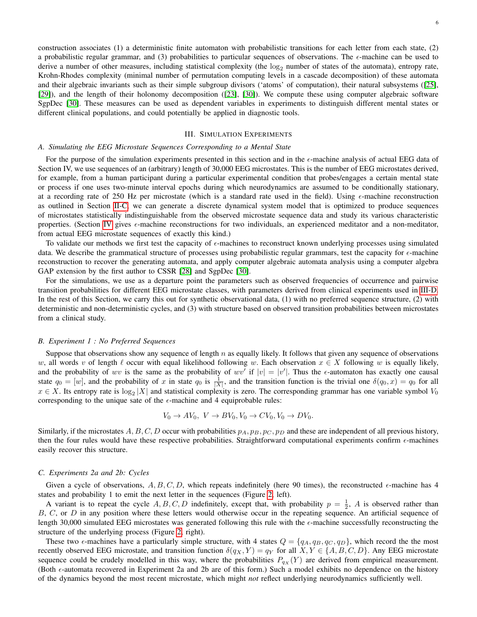construction associates (1) a deterministic finite automaton with probabilistic transitions for each letter from each state, (2) a probabilistic regular grammar, and (3) probabilities to particular sequences of observations. The  $\epsilon$ -machine can be used to derive a number of other measures, including statistical complexity (the  $log_2$  number of states of the automata), entropy rate, Krohn-Rhodes complexity (minimal number of permutation computing levels in a cascade decomposition) of these automata and their algebraic invariants such as their simple subgroup divisors ('atoms' of computation), their natural subsystems ([\[25\]](#page-10-24), [\[29\]](#page-10-28)), and the length of their holonomy decomposition ([\[23\]](#page-10-22), [\[30\]](#page-10-29)). We compute these using computer algebraic software SgpDec [\[30\]](#page-10-29). These measures can be used as dependent variables in experiments to distinguish different mental states or different clinical populations, and could potentially be applied in diagnostic tools.

# III. SIMULATION EXPERIMENTS

#### <span id="page-5-0"></span>*A. Simulating the EEG Microstate Sequences Corresponding to a Mental State*

For the purpose of the simulation experiments presented in this section and in the  $\epsilon$ -machine analysis of actual EEG data of Section IV, we use sequences of an (arbitrary) length of 30,000 EEG microstates. This is the number of EEG microstates derived, for example, from a human participant during a particular experimental condition that probes/engages a certain mental state or process if one uses two-minute interval epochs during which neurodynamics are assumed to be conditionally stationary, at a recording rate of 250 Hz per microstate (which is a standard rate used in the field). Using  $\epsilon$ -machine reconstruction as outlined in Section [II-C,](#page-4-0) we can generate a discrete dynamical system model that is optimized to produce sequences of microstates statistically indistinguishable from the observed microstate sequence data and study its various characteristic properties. (Section [IV](#page-8-0) gives  $\epsilon$ -machine reconstructions for two individuals, an experienced meditator and a non-meditator, from actual EEG microstate sequences of exactly this kind.)

To validate our methods we first test the capacity of  $\epsilon$ -machines to reconstruct known underlying processes using simulated data. We describe the grammatical structure of processes using probabilistic regular grammars, test the capacity for  $\epsilon$ -machine reconstruction to recover the generating automata, and apply computer algebraic automata analysis using a computer algebra GAP extension by the first author to CSSR [\[28\]](#page-10-27) and SgpDec [\[30\]](#page-10-29).

For the simulations, we use as a departure point the parameters such as observed frequencies of occurrence and pairwise transition probabilities for different EEG microstate classes, with parameters derived from clinical experiments used in [III-D.](#page-6-0) In the rest of this Section, we carry this out for synthetic observational data, (1) with no preferred sequence structure, (2) with deterministic and non-deterministic cycles, and (3) with structure based on observed transition probabilities between microstates from a clinical study.

#### *B. Experiment 1 : No Preferred Sequences*

Suppose that observations show any sequence of length n as equally likely. It follows that given any sequence of observations w, all words v of length  $\ell$  occur with equal likelihood following w. Each observation  $x \in X$  following w is equally likely, and the probability of wv is the same as the probability of wv' if  $|v| = |v'|$ . Thus the  $\epsilon$ -automaton has exactly one causal state  $q_0 = [w]$ , and the probability of x in state  $q_0$  is  $\frac{1}{|X|}$ , and the transition function is the trivial one  $\delta(q_0, x) = q_0$  for all  $x \in X$ . Its entropy rate is  $\log_2 |X|$  and statistical complexity is zero. The corresponding grammar has one variable symbol  $V_0$ corresponding to the unique sate of the  $\epsilon$ -machine and 4 equiprobable rules:

$$
V_0 \to AV_0, \ V \to BV_0, V_0 \to CV_0, V_0 \to DV_0.
$$

Similarly, if the microstates A, B, C, D occur with probabilities  $p_A$ ,  $p_B$ ,  $p_C$ ,  $p_D$  and these are independent of all previous history, then the four rules would have these respective probabilities. Straightforward computational experiments confirm  $\epsilon$ -machines easily recover this structure.

#### *C. Experiments 2a and 2b: Cycles*

Given a cycle of observations, A, B, C, D, which repeats indefinitely (here 90 times), the reconstructed  $\epsilon$ -machine has 4 states and probability 1 to emit the next letter in the sequences (Figure [2,](#page-6-1) left).

A variant is to repeat the cycle  $A, B, C, D$  indefinitely, except that, with probability  $p = \frac{1}{2}$ , A is observed rather than B, C, or D in any position where these letters would otherwise occur in the repeating sequence. An artificial sequence of length 30,000 simulated EEG microstates was generated following this rule with the  $\epsilon$ -machine successfully reconstructing the structure of the underlying process (Figure [2,](#page-6-1) right).

These two  $\epsilon$ -machines have a particularly simple structure, with 4 states  $Q = \{q_A, q_B, q_C, q_D\}$ , which record the the most recently observed EEG microstate, and transition function  $\delta(q_X, Y) = q_Y$  for all  $X, Y \in \{A, B, C, D\}$ . Any EEG microstate sequence could be crudely modelled in this way, where the probabilities  $P_{qX}(Y)$  are derived from empirical measurement. (Both  $\epsilon$ -automata recovered in Experiment 2a and 2b are of this form.) Such a model exhibits no dependence on the history of the dynamics beyond the most recent microstate, which might *not* reflect underlying neurodynamics sufficiently well.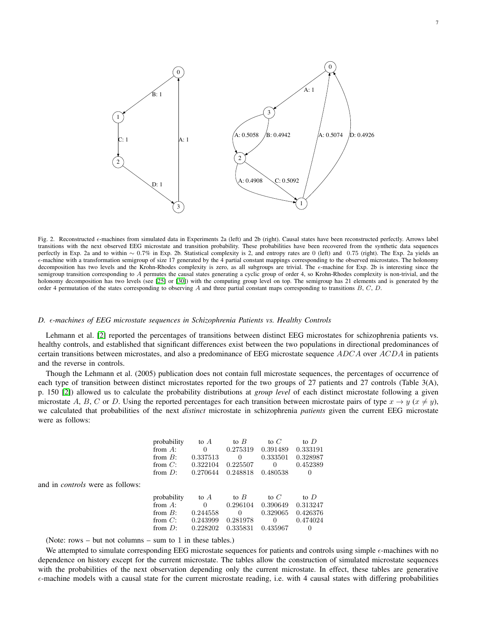

<span id="page-6-1"></span>Fig. 2. Reconstructed  $\epsilon$ -machines from simulated data in Experiments 2a (left) and 2b (right). Causal states have been reconstructed perfectly. Arrows label transitions with the next observed EEG microstate and transition probability. These probabilities have been recovered from the synthetic data sequences perfectly in Exp. 2a and to within ~ 0.7% in Exp. 2b. Statistical complexity is 2, and entropy rates are 0 (left) and 0.75 (right). The Exp. 2a yields an -machine with a transformation semigroup of size 17 generated by the 4 partial constant mappings corresponding to the observed microstates. The holonomy decomposition has two levels and the Krohn-Rhodes complexity is zero, as all subgroups are trivial. The  $\epsilon$ -machine for Exp. 2b is interesting since the semigroup transition corresponding to A permutes the causal states generating a cyclic group of order 4, so Krohn-Rhodes complexity is non-trivial, and the holonomy decomposition has two levels (see [\[25\]](#page-10-24) or [\[30\]](#page-10-29)) with the computing group level on top. The semigroup has 21 elements and is generated by the order 4 permutation of the states corresponding to observing A and three partial constant maps corresponding to transitions B, C, D.

## <span id="page-6-0"></span>*D. -machines of EEG microstate sequences in Schizophrenia Patients vs. Healthy Controls*

Lehmann et al. [\[2\]](#page-10-1) reported the percentages of transitions between distinct EEG microstates for schizophrenia patients vs. healthy controls, and established that significant differences exist between the two populations in directional predominances of certain transitions between microstates, and also a predominance of EEG microstate sequence  $ADCA$  over  $ACDA$  in patients and the reverse in controls.

Though the Lehmann et al. (2005) publication does not contain full microstate sequences, the percentages of occurrence of each type of transition between distinct microstates reported for the two groups of 27 patients and 27 controls (Table 3(A), p. 150 [\[2\]](#page-10-1)) allowed us to calculate the probability distributions at *group level* of each distinct microstate following a given microstate A, B, C or D. Using the reported percentages for each transition between microstate pairs of type  $x \to y$  ( $x \neq y$ ), we calculated that probabilities of the next *distinct* microstate in schizophrenia *patients* given the current EEG microstate were as follows:

| probability | to $A$   | to $B$       | to $C$   | to D     |
|-------------|----------|--------------|----------|----------|
| from $A$ :  |          | 0.275319     | 0.391489 | 0.333191 |
| from $B$ :  | 0.337513 | 0            | 0.333501 | 0.328987 |
| from $C$ :  | 0.322104 | 0.225507     | $\theta$ | 0.452389 |
| from $D:$   | 0.270644 | 0.248818     | 0.480538 |          |
|             |          |              |          |          |
| probability | to $A$   | to $B$       | to $C$   | to D     |
| from $A$ :  |          | 0.296104     | 0.390649 | 0.313247 |
| from $B$ :  | 0.244558 | $\mathbf{0}$ | 0.329065 | 0.426376 |
| from $C$ :  | 0.243999 | 0.281978     | $\theta$ | 0.474024 |
| from $D:$   | 0.228202 | 0.335831     | 0.435967 |          |

(Note: rows – but not columns – sum to 1 in these tables.)

and in *controls* were as follows:

We attempted to simulate corresponding EEG microstate sequences for patients and controls using simple  $\epsilon$ -machines with no dependence on history except for the current microstate. The tables allow the construction of simulated microstate sequences with the probabilities of the next observation depending only the current microstate. In effect, these tables are generative  $\epsilon$ -machine models with a causal state for the current microstate reading, i.e. with 4 causal states with differing probabilities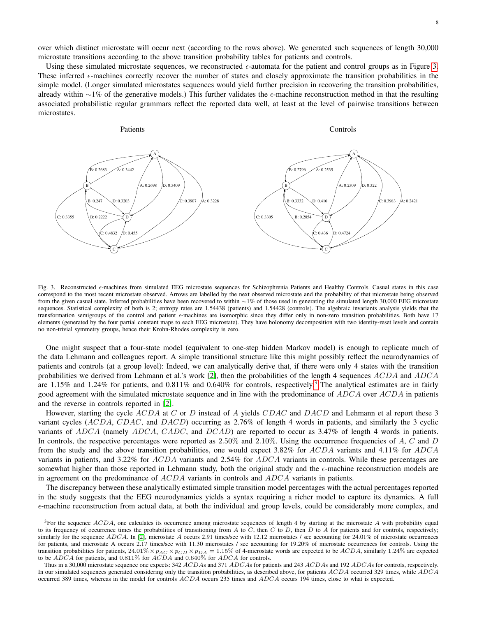over which distinct microstate will occur next (according to the rows above). We generated such sequences of length 30,000 microstate transitions according to the above transition probability tables for patients and controls.

Using these simulated microstate sequences, we reconstructed  $\epsilon$ -automata for the patient and control groups as in Figure [3.](#page-7-0) These inferred  $\epsilon$ -machines correctly recover the number of states and closely approximate the transition probabilities in the simple model. (Longer simulated microstates sequences would yield further precision in recovering the transition probabilities, already within ∼1% of the generative models.) This further validates the  $\epsilon$ -machine reconstruction method in that the resulting associated probabilistic regular grammars reflect the reported data well, at least at the level of pairwise transitions between microstates.



<span id="page-7-0"></span>Fig. 3. Reconstructed  $\epsilon$ -machines from simulated EEG microstate sequences for Schizophrenia Patients and Healthy Controls. Casual states in this case correspond to the most recent microstate observed. Arrows are labelled by the next observed microstate and the probability of that microstate being observed from the given casual state. Inferred probabilities have been recovered to within ~1% of those used in generating the simulated length 30,000 EEG microstate sequences. Statistical complexity of both is 2; entropy rates are 1.54438 (patients) and 1.54428 (controls). The algebraic invariants analysis yields that the transformation semigroups of the control and patient  $\epsilon$ -machines are isomorphic since they differ only in non-zero transition probabilities. Both have 17 elements (generated by the four partial constant maps to each EEG microstate). They have holonomy decomposition with two identity-reset levels and contain no non-trivial symmetry groups, hence their Krohn-Rhodes complexity is zero.

One might suspect that a four-state model (equivalent to one-step hidden Markov model) is enough to replicate much of the data Lehmann and colleagues report. A simple transitional structure like this might possibly reflect the neurodynamics of patients and controls (at a group level): Indeed, we can analytically derive that, if there were only 4 states with the transition probabilities we derived from Lehmann et al.'s work [\[2\]](#page-10-1), then the probabilities of the length 4 sequences ACDA and ADCA are 1.15% and 1.24% for patients, and  $0.811\%$  and  $0.640\%$  for controls, respectively.<sup>[3](#page-7-1)</sup> The analytical estimates are in fairly good agreement with the simulated microstate sequence and in line with the predominance of ADCA over ACDA in patients and the reverse in controls reported in [\[2\]](#page-10-1).

However, starting the cycle ACDA at C or D instead of A yields CDAC and DACD and Lehmann et al report these 3 variant cycles (ACDA, CDAC, and DACD) occurring as 2.76% of length 4 words in patients, and similarly the 3 cyclic variants of ADCA (namely ADCA, CADC, and DCAD) are reported to occur as 3.47% of length 4 words in patients. In controls, the respective percentages were reported as  $2.50\%$  and  $2.10\%$ . Using the occurrence frequencies of A, C and D from the study and the above transition probabilities, one would expect 3.82% for ACDA variants and 4.11% for ADCA variants in patients, and 3.22% for ACDA variants and 2.54% for ADCA variants in controls. While these percentages are somewhat higher than those reported in Lehmann study, both the original study and the  $\epsilon$ -machine reconstruction models are in agreement on the predominance of  $ACDA$  variants in controls and  $ADCA$  variants in patients.

The discrepancy between these analytically estimated simple transition model percentages with the actual percentages reported in the study suggests that the EEG neurodynamics yields a syntax requiring a richer model to capture its dynamics. A full  $\epsilon$ -machine reconstruction from actual data, at both the individual and group levels, could be considerably more complex, and

<span id="page-7-1"></span> ${}^{3}$ For the sequence ACDA, one calculates its occurrence among microstate sequences of length 4 by starting at the microstate A with probability equal to its frequency of occurrence times the probabilities of transitioning from  $A$  to  $C$ , then  $C$  to  $D$ , then  $D$  to  $\overline{A}$  for patients and for controls, respectively; similarly for the sequence  $ADCA$ . In [\[2\]](#page-10-1), microstate A occurs 2.91 times/sec with 12.12 microstates / sec accounting for 24.01% of microstate occurrences for patients, and microstate A occurs 2.17 times/sec with 11.30 microstates / sec accounting for 19.20% of microstate occurrences for controls. Using the transition probabilities for patients,  $24.01\% \times p_{AC} \times p_{CD} \times p_{DA} = 1.15\%$  of 4-microstate words are expected to be ACDA, similarly 1.24% are expected to be ADCA for patients, and 0.811% for ACDA and 0.640% for ADCA for controls.

Thus in a 30,000 microstate sequence one expects: 342 ACDAs and 371 ADCAs for patients and 243 ACDAs and 192 ADCAs for controls, respectively. In our simulated sequences generated considering only the transition probabilities, as described above, for patients ACDA occurred 329 times, while ADCA occurred 389 times, whereas in the model for controls ACDA occurs 235 times and ADCA occurs 194 times, close to what is expected.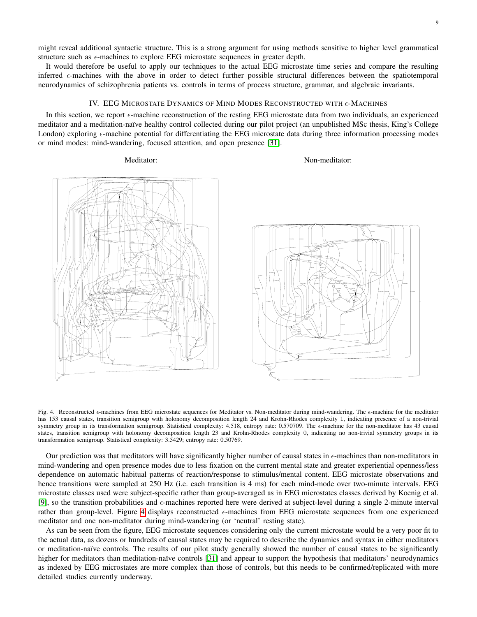might reveal additional syntactic structure. This is a strong argument for using methods sensitive to higher level grammatical structure such as  $\epsilon$ -machines to explore EEG microstate sequences in greater depth.

It would therefore be useful to apply our techniques to the actual EEG microstate time series and compare the resulting inferred  $\epsilon$ -machines with the above in order to detect further possible structural differences between the spatiotemporal neurodynamics of schizophrenia patients vs. controls in terms of process structure, grammar, and algebraic invariants.

# IV. EEG MICROSTATE DYNAMICS OF MIND MODES RECONSTRUCTED WITH  $\epsilon$ -MACHINES

<span id="page-8-0"></span>In this section, we report  $\epsilon$ -machine reconstruction of the resting EEG microstate data from two individuals, an experienced meditator and a meditation-naïve healthy control collected during our pilot project (an unpublished MSc thesis, King's College London) exploring  $\epsilon$ -machine potential for differentiating the EEG microstate data during three information processing modes or mind modes: mind-wandering, focused attention, and open presence [\[31\]](#page-10-30).

Meditator: Non-meditator:





<span id="page-8-1"></span>Fig. 4. Reconstructed  $\epsilon$ -machines from EEG microstate sequences for Meditator vs. Non-meditator during mind-wandering. The  $\epsilon$ -machine for the meditator has 153 causal states, transition semigroup with holonomy decomposition length 24 and Krohn-Rhodes complexity 1, indicating presence of a non-trivial symmetry group in its transformation semigroup. Statistical complexity: 4.518, entropy rate: 0.570709. The  $\epsilon$ -machine for the non-meditator has 43 causal states, transition semigroup with holonomy decomposition length 23 and Krohn-Rhodes complexity 0, indicating no non-trivial symmetry groups in its transformation semigroup. Statistical complexity: 3.5429; entropy rate: 0.50769.

Our prediction was that meditators will have significantly higher number of causal states in  $\epsilon$ -machines than non-meditators in mind-wandering and open presence modes due to less fixation on the current mental state and greater experiential openness/less dependence on automatic habitual patterns of reaction/response to stimulus/mental content. EEG microstate observations and hence transitions were sampled at 250 Hz (i.e. each transition is 4 ms) for each mind-mode over two-minute intervals. EEG microstate classes used were subject-specific rather than group-averaged as in EEG microstates classes derived by Koenig et al. [\[9\]](#page-10-8), so the transition probabilities and  $\epsilon$ -machines reported here were derived at subject-level during a single 2-minute interval rather than group-level. Figure [4](#page-8-1) displays reconstructed  $\epsilon$ -machines from EEG microstate sequences from one experienced meditator and one non-meditator during mind-wandering (or 'neutral' resting state).

As can be seen from the figure, EEG microstate sequences considering only the current microstate would be a very poor fit to the actual data, as dozens or hundreds of causal states may be required to describe the dynamics and syntax in either meditators or meditation-na¨ıve controls. The results of our pilot study generally showed the number of causal states to be significantly higher for meditators than meditation-naïve controls [\[31\]](#page-10-30) and appear to support the hypothesis that meditators' neurodynamics as indexed by EEG microstates are more complex than those of controls, but this needs to be confirmed/replicated with more detailed studies currently underway.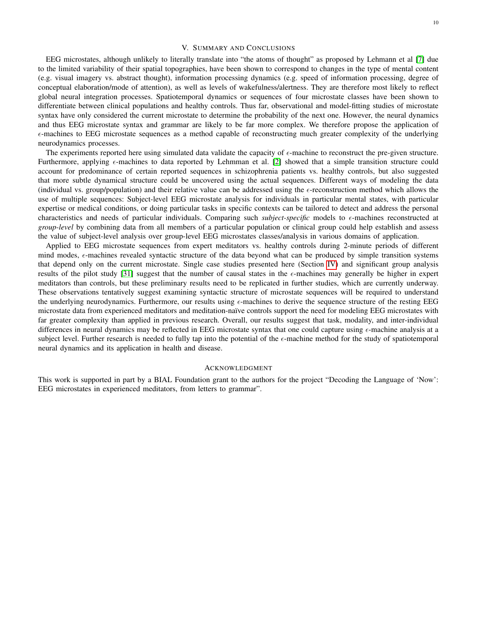# V. SUMMARY AND CONCLUSIONS

<span id="page-9-0"></span>EEG microstates, although unlikely to literally translate into "the atoms of thought" as proposed by Lehmann et al [\[7\]](#page-10-6) due to the limited variability of their spatial topographies, have been shown to correspond to changes in the type of mental content (e.g. visual imagery vs. abstract thought), information processing dynamics (e.g. speed of information processing, degree of conceptual elaboration/mode of attention), as well as levels of wakefulness/alertness. They are therefore most likely to reflect global neural integration processes. Spatiotemporal dynamics or sequences of four microstate classes have been shown to differentiate between clinical populations and healthy controls. Thus far, observational and model-fitting studies of microstate syntax have only considered the current microstate to determine the probability of the next one. However, the neural dynamics and thus EEG microstate syntax and grammar are likely to be far more complex. We therefore propose the application of  $\epsilon$ -machines to EEG microstate sequences as a method capable of reconstructing much greater complexity of the underlying neurodynamics processes.

The experiments reported here using simulated data validate the capacity of  $\epsilon$ -machine to reconstruct the pre-given structure. Furthermore, applying  $\epsilon$ -machines to data reported by Lehmman et al. [\[2\]](#page-10-1) showed that a simple transition structure could account for predominance of certain reported sequences in schizophrenia patients vs. healthy controls, but also suggested that more subtle dynamical structure could be uncovered using the actual sequences. Different ways of modeling the data (individual vs. group/population) and their relative value can be addressed using the  $\epsilon$ -reconstruction method which allows the use of multiple sequences: Subject-level EEG microstate analysis for individuals in particular mental states, with particular expertise or medical conditions, or doing particular tasks in specific contexts can be tailored to detect and address the personal characteristics and needs of particular individuals. Comparing such *subject-specific* models to  $\epsilon$ -machines reconstructed at *group-level* by combining data from all members of a particular population or clinical group could help establish and assess the value of subject-level analysis over group-level EEG microstates classes/analysis in various domains of application.

Applied to EEG microstate sequences from expert meditators vs. healthy controls during 2-minute periods of different mind modes,  $\epsilon$ -machines revealed syntactic structure of the data beyond what can be produced by simple transition systems that depend only on the current microstate. Single case studies presented here (Section [IV\)](#page-8-0) and significant group analysis results of the pilot study [\[31\]](#page-10-30) suggest that the number of causal states in the  $\epsilon$ -machines may generally be higher in expert meditators than controls, but these preliminary results need to be replicated in further studies, which are currently underway. These observations tentatively suggest examining syntactic structure of microstate sequences will be required to understand the underlying neurodynamics. Furthermore, our results using  $\epsilon$ -machines to derive the sequence structure of the resting EEG microstate data from experienced meditators and meditation-na¨ıve controls support the need for modeling EEG microstates with far greater complexity than applied in previous research. Overall, our results suggest that task, modality, and inter-individual differences in neural dynamics may be reflected in EEG microstate syntax that one could capture using  $\epsilon$ -machine analysis at a subject level. Further research is needed to fully tap into the potential of the  $\epsilon$ -machine method for the study of spatiotemporal neural dynamics and its application in health and disease.

# ACKNOWLEDGMENT

This work is supported in part by a BIAL Foundation grant to the authors for the project "Decoding the Language of 'Now': EEG microstates in experienced meditators, from letters to grammar".